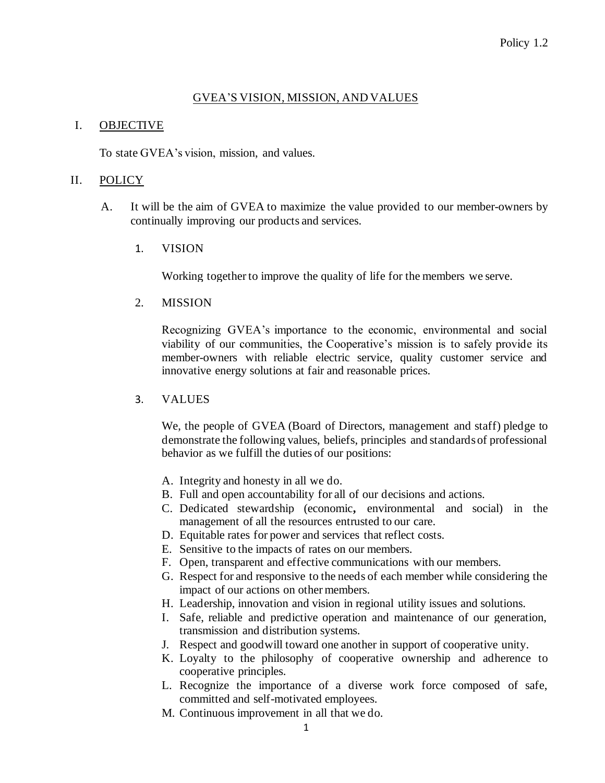## GVEA'S VISION, MISSION, AND VALUES

## I. OBJECTIVE

To state GVEA's vision, mission, and values.

## II. POLICY

- A. It will be the aim of GVEA to maximize the value provided to our member-owners by continually improving our products and services.
	- 1. VISION

Working together to improve the quality of life for the members we serve.

2. MISSION

Recognizing GVEA's importance to the economic, environmental and social viability of our communities, the Cooperative's mission is to safely provide its member-owners with reliable electric service, quality customer service and innovative energy solutions at fair and reasonable prices.

3. VALUES

We, the people of GVEA (Board of Directors, management and staff) pledge to demonstrate the following values, beliefs, principles and standards of professional behavior as we fulfill the duties of our positions:

- A. Integrity and honesty in all we do.
- B. Full and open accountability for all of our decisions and actions.
- C. Dedicated stewardship (economic**,** environmental and social) in the management of all the resources entrusted to our care.
- D. Equitable rates for power and services that reflect costs.
- E. Sensitive to the impacts of rates on our members.
- F. Open, transparent and effective communications with our members.
- G. Respect for and responsive to the needs of each member while considering the impact of our actions on other members.
- H. Leadership, innovation and vision in regional utility issues and solutions.
- I. Safe, reliable and predictive operation and maintenance of our generation, transmission and distribution systems.
- J. Respect and goodwill toward one another in support of cooperative unity.
- K. Loyalty to the philosophy of cooperative ownership and adherence to cooperative principles.
- L. Recognize the importance of a diverse work force composed of safe, committed and self-motivated employees.
- M. Continuous improvement in all that we do.